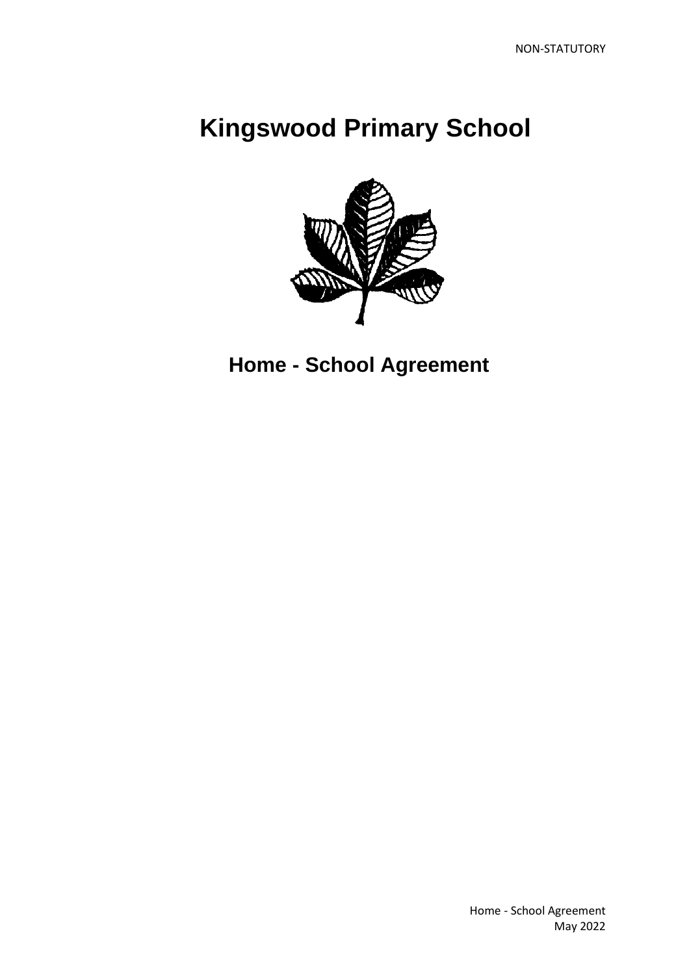## **Kingswood Primary School**



 **Home - School Agreement**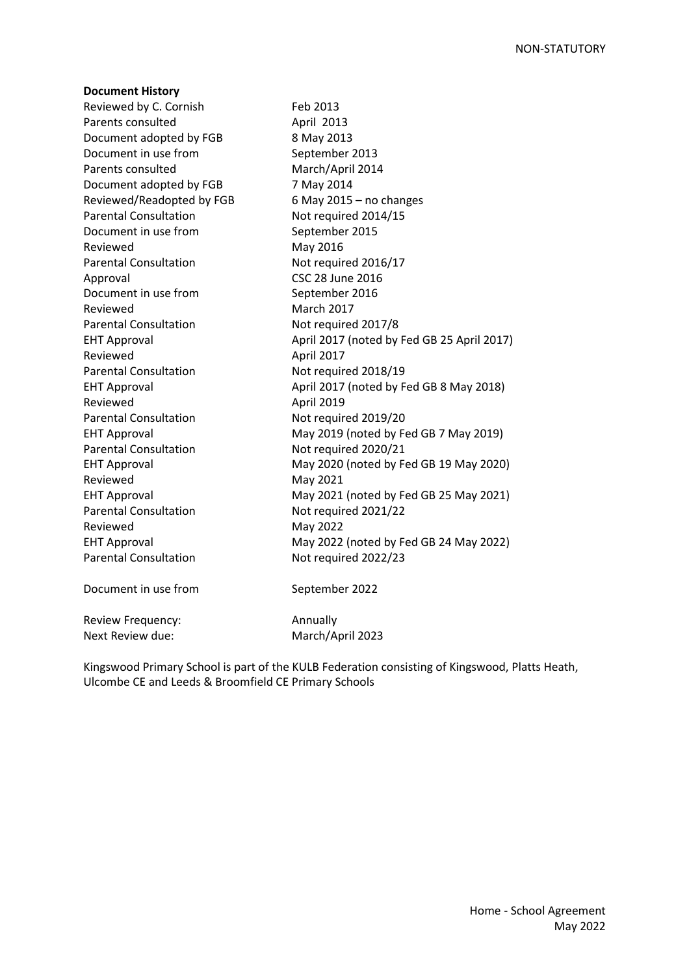| <b>Document History</b>      |                                            |
|------------------------------|--------------------------------------------|
| Reviewed by C. Cornish       | Feb 2013                                   |
| Parents consulted            | April 2013                                 |
| Document adopted by FGB      | 8 May 2013                                 |
| Document in use from         | September 2013                             |
| Parents consulted            | March/April 2014                           |
| Document adopted by FGB      | 7 May 2014                                 |
| Reviewed/Readopted by FGB    | 6 May 2015 $-$ no changes                  |
| <b>Parental Consultation</b> | Not required 2014/15                       |
| Document in use from         | September 2015                             |
| Reviewed                     | May 2016                                   |
| <b>Parental Consultation</b> | Not required 2016/17                       |
| Approval                     | <b>CSC 28 June 2016</b>                    |
| Document in use from         | September 2016                             |
| Reviewed                     | <b>March 2017</b>                          |
| <b>Parental Consultation</b> | Not required 2017/8                        |
| <b>EHT Approval</b>          | April 2017 (noted by Fed GB 25 April 2017) |
| Reviewed                     | April 2017                                 |
| <b>Parental Consultation</b> | Not required 2018/19                       |
| <b>EHT Approval</b>          | April 2017 (noted by Fed GB 8 May 2018)    |
| Reviewed                     | April 2019                                 |
| <b>Parental Consultation</b> | Not required 2019/20                       |
| <b>EHT Approval</b>          | May 2019 (noted by Fed GB 7 May 2019)      |
| <b>Parental Consultation</b> | Not required 2020/21                       |
| <b>EHT Approval</b>          | May 2020 (noted by Fed GB 19 May 2020)     |
| Reviewed                     | May 2021                                   |
| <b>EHT Approval</b>          | May 2021 (noted by Fed GB 25 May 2021)     |
| <b>Parental Consultation</b> | Not required 2021/22                       |
| Reviewed                     | May 2022                                   |
| <b>EHT Approval</b>          | May 2022 (noted by Fed GB 24 May 2022)     |
| <b>Parental Consultation</b> | Not required 2022/23                       |
| Document in use from         | September 2022                             |
| Review Frequency:            | Annually                                   |
| Next Review due:             | March/April 2023                           |
|                              |                                            |

Kingswood Primary School is part of the KULB Federation consisting of Kingswood, Platts Heath, Ulcombe CE and Leeds & Broomfield CE Primary Schools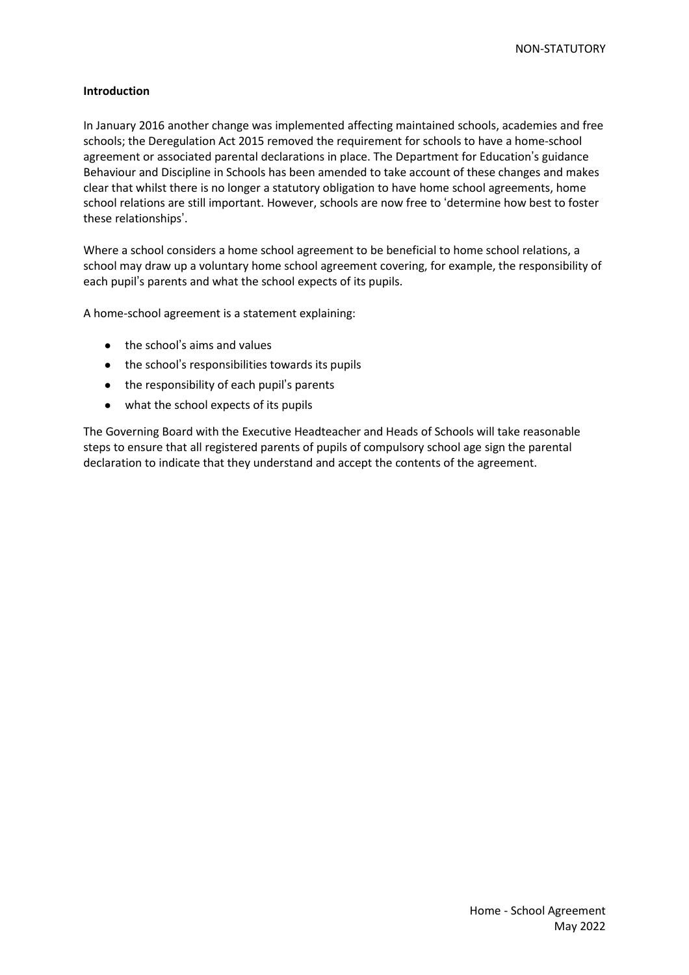## **Introduction**

In January 2016 another change was implemented affecting maintained schools, academies and free schools; the Deregulation Act 2015 removed the requirement for schools to have a home-school agreement or associated parental declarations in place. The Department for Education's guidance Behaviour and Discipline in Schools has been amended to take account of these changes and makes clear that whilst there is no longer a statutory obligation to have home school agreements, home school relations are still important. However, schools are now free to 'determine how best to foster these relationships'.

Where a school considers a home school agreement to be beneficial to home school relations, a school may draw up a voluntary home school agreement covering, for example, the responsibility of each pupil's parents and what the school expects of its pupils.

A home-school agreement is a statement explaining:

- the school's aims and values
- the school's responsibilities towards its pupils
- the responsibility of each pupil's parents
- what the school expects of its pupils

The Governing Board with the Executive Headteacher and Heads of Schools will take reasonable steps to ensure that all registered parents of pupils of compulsory school age sign the parental declaration to indicate that they understand and accept the contents of the agreement.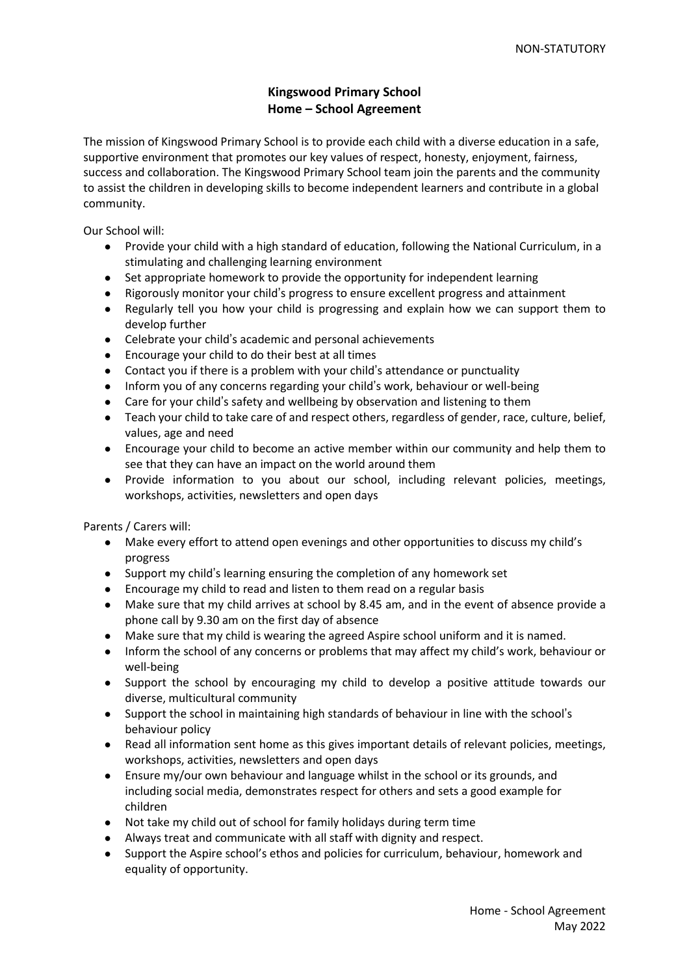## **Kingswood Primary School Home – School Agreement**

The mission of Kingswood Primary School is to provide each child with a diverse education in a safe, supportive environment that promotes our key values of respect, honesty, enjoyment, fairness, success and collaboration. The Kingswood Primary School team join the parents and the community to assist the children in developing skills to become independent learners and contribute in a global community.

Our School will:

- Provide your child with a high standard of education, following the National Curriculum, in a stimulating and challenging learning environment
- Set appropriate homework to provide the opportunity for independent learning
- Rigorously monitor your child's progress to ensure excellent progress and attainment
- Regularly tell you how your child is progressing and explain how we can support them to develop further
- Celebrate your child's academic and personal achievements
- Encourage your child to do their best at all times
- Contact you if there is a problem with your child's attendance or punctuality
- Inform you of any concerns regarding your child's work, behaviour or well-being
- Care for your child's safety and wellbeing by observation and listening to them
- Teach your child to take care of and respect others, regardless of gender, race, culture, belief, values, age and need
- Encourage your child to become an active member within our community and help them to see that they can have an impact on the world around them
- Provide information to you about our school, including relevant policies, meetings, workshops, activities, newsletters and open days

Parents / Carers will:

- Make every effort to attend open evenings and other opportunities to discuss my child's progress
- Support my child's learning ensuring the completion of any homework set
- Encourage my child to read and listen to them read on a regular basis
- Make sure that my child arrives at school by 8.45 am, and in the event of absence provide a phone call by 9.30 am on the first day of absence
- Make sure that my child is wearing the agreed Aspire school uniform and it is named.
- Inform the school of any concerns or problems that may affect my child's work, behaviour or well-being
- Support the school by encouraging my child to develop a positive attitude towards our diverse, multicultural community
- Support the school in maintaining high standards of behaviour in line with the school's behaviour policy
- Read all information sent home as this gives important details of relevant policies, meetings, workshops, activities, newsletters and open days
- Ensure my/our own behaviour and language whilst in the school or its grounds, and including social media, demonstrates respect for others and sets a good example for children
- Not take my child out of school for family holidays during term time
- Always treat and communicate with all staff with dignity and respect.
- Support the Aspire school's ethos and policies for curriculum, behaviour, homework and equality of opportunity.